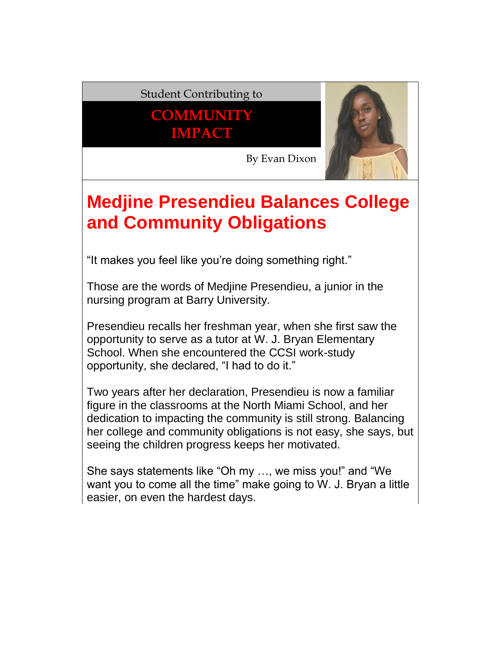## Student Contributing to

**COMMUNITY IMPACT**



By Evan Dixon

## **Medjine Presendieu Balances College and Community Obligations**

"It makes you feel like you're doing something right."

Those are the words of Medjine Presendieu, a junior in the nursing program at Barry University.

Presendieu recalls her freshman year, when she first saw the opportunity to serve as a tutor at W. J. Bryan Elementary School. When she encountered the CCSI work-study opportunity, she declared, "I had to do it."

Two years after her declaration, Presendieu is now a familiar figure in the classrooms at the North Miami School, and her dedication to impacting the community is still strong. Balancing her college and community obligations is not easy, she says, but seeing the children progress keeps her motivated.

She says statements like "Oh my …, we miss you!" and "We want you to come all the time" make going to W. J. Bryan a little easier, on even the hardest days.